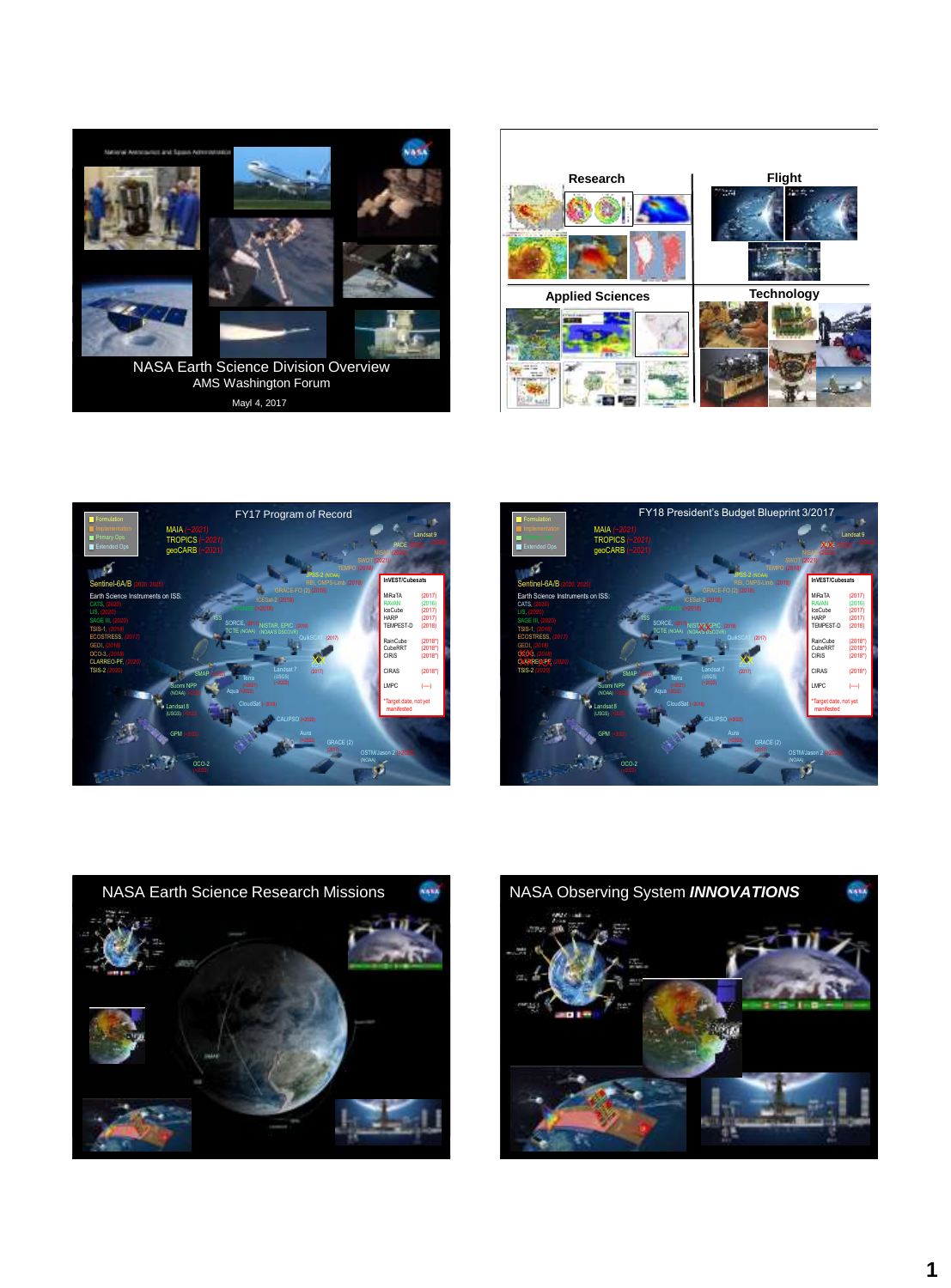

Mayl 4, 2017









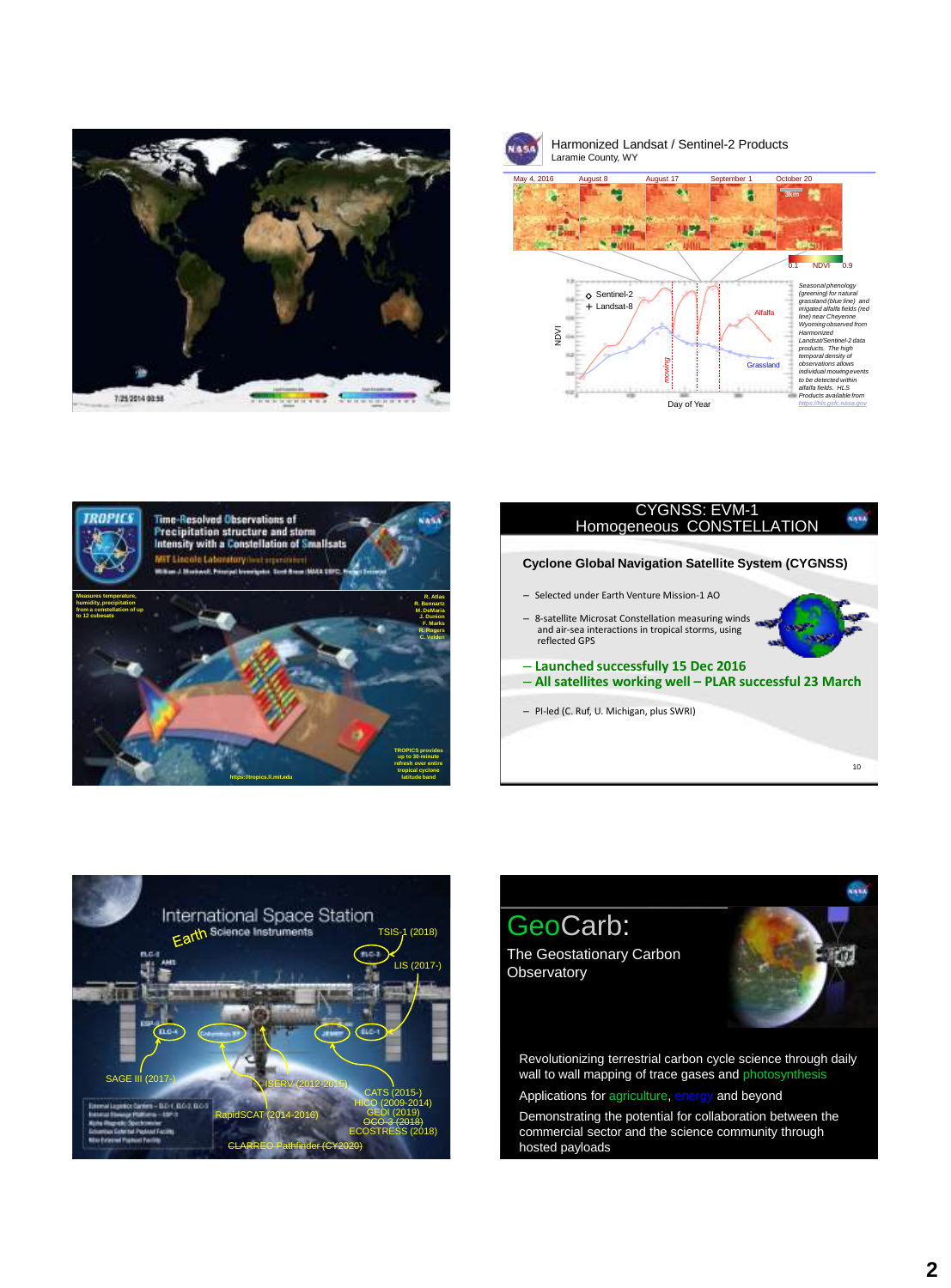



Harmonized Landsat / Sentinel-2 Products Laramie County, WY